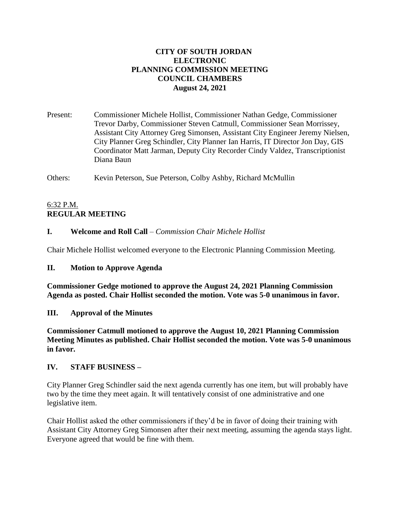# **CITY OF SOUTH JORDAN ELECTRONIC PLANNING COMMISSION MEETING COUNCIL CHAMBERS August 24, 2021**

Present: Commissioner Michele Hollist, Commissioner Nathan Gedge, Commissioner Trevor Darby, Commissioner Steven Catmull, Commissioner Sean Morrissey, Assistant City Attorney Greg Simonsen, Assistant City Engineer Jeremy Nielsen, City Planner Greg Schindler, City Planner Ian Harris, IT Director Jon Day, GIS Coordinator Matt Jarman, Deputy City Recorder Cindy Valdez, Transcriptionist Diana Baun

Others: Kevin Peterson, Sue Peterson, Colby Ashby, Richard McMullin

# 6:32 P.M. **REGULAR MEETING**

# **I. Welcome and Roll Call** – *Commission Chair Michele Hollist*

Chair Michele Hollist welcomed everyone to the Electronic Planning Commission Meeting.

### **II. Motion to Approve Agenda**

**Commissioner Gedge motioned to approve the August 24, 2021 Planning Commission Agenda as posted. Chair Hollist seconded the motion. Vote was 5-0 unanimous in favor.**

### **III. Approval of the Minutes**

**Commissioner Catmull motioned to approve the August 10, 2021 Planning Commission Meeting Minutes as published. Chair Hollist seconded the motion. Vote was 5-0 unanimous in favor.**

### **IV. STAFF BUSINESS –**

City Planner Greg Schindler said the next agenda currently has one item, but will probably have two by the time they meet again. It will tentatively consist of one administrative and one legislative item.

Chair Hollist asked the other commissioners if they'd be in favor of doing their training with Assistant City Attorney Greg Simonsen after their next meeting, assuming the agenda stays light. Everyone agreed that would be fine with them.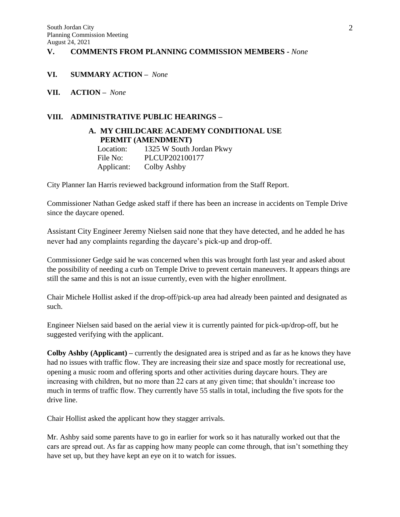#### **V. COMMENTS FROM PLANNING COMMISSION MEMBERS -** *None*

#### **VI. SUMMARY ACTION –** *None*

**VII. ACTION –** *None*

## **VIII. ADMINISTRATIVE PUBLIC HEARINGS –**

## **A. MY CHILDCARE ACADEMY CONDITIONAL USE PERMIT (AMENDMENT)**

| Location:  | 1325 W South Jordan Pkwy |
|------------|--------------------------|
| File No:   | PLCUP202100177           |
| Applicant: | Colby Ashby              |

City Planner Ian Harris reviewed background information from the Staff Report.

Commissioner Nathan Gedge asked staff if there has been an increase in accidents on Temple Drive since the daycare opened.

Assistant City Engineer Jeremy Nielsen said none that they have detected, and he added he has never had any complaints regarding the daycare's pick-up and drop-off.

Commissioner Gedge said he was concerned when this was brought forth last year and asked about the possibility of needing a curb on Temple Drive to prevent certain maneuvers. It appears things are still the same and this is not an issue currently, even with the higher enrollment.

Chair Michele Hollist asked if the drop-off/pick-up area had already been painted and designated as such.

Engineer Nielsen said based on the aerial view it is currently painted for pick-up/drop-off, but he suggested verifying with the applicant.

**Colby Ashby (Applicant) –** currently the designated area is striped and as far as he knows they have had no issues with traffic flow. They are increasing their size and space mostly for recreational use, opening a music room and offering sports and other activities during daycare hours. They are increasing with children, but no more than 22 cars at any given time; that shouldn't increase too much in terms of traffic flow. They currently have 55 stalls in total, including the five spots for the drive line.

Chair Hollist asked the applicant how they stagger arrivals.

Mr. Ashby said some parents have to go in earlier for work so it has naturally worked out that the cars are spread out. As far as capping how many people can come through, that isn't something they have set up, but they have kept an eye on it to watch for issues.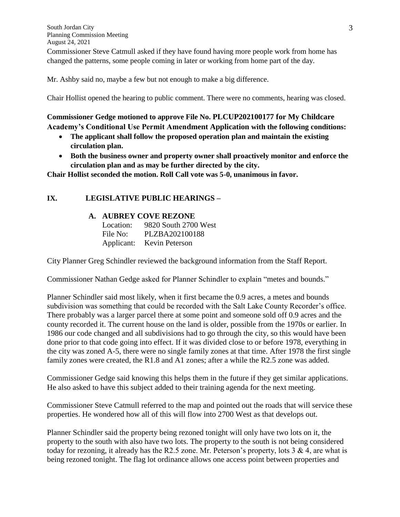Commissioner Steve Catmull asked if they have found having more people work from home has changed the patterns, some people coming in later or working from home part of the day.

Mr. Ashby said no, maybe a few but not enough to make a big difference.

Chair Hollist opened the hearing to public comment. There were no comments, hearing was closed.

# **Commissioner Gedge motioned to approve File No. PLCUP202100177 for My Childcare Academy's Conditional Use Permit Amendment Application with the following conditions:**

- **The applicant shall follow the proposed operation plan and maintain the existing circulation plan.**
- **Both the business owner and property owner shall proactively monitor and enforce the circulation plan and as may be further directed by the city.**

**Chair Hollist seconded the motion. Roll Call vote was 5-0, unanimous in favor.**

# **IX. LEGISLATIVE PUBLIC HEARINGS –**

### **A. AUBREY COVE REZONE**

| Location: | 9820 South 2700 West      |
|-----------|---------------------------|
| File No:  | PLZBA202100188            |
|           | Applicant: Kevin Peterson |

City Planner Greg Schindler reviewed the background information from the Staff Report.

Commissioner Nathan Gedge asked for Planner Schindler to explain "metes and bounds."

Planner Schindler said most likely, when it first became the 0.9 acres, a metes and bounds subdivision was something that could be recorded with the Salt Lake County Recorder's office. There probably was a larger parcel there at some point and someone sold off 0.9 acres and the county recorded it. The current house on the land is older, possible from the 1970s or earlier. In 1986 our code changed and all subdivisions had to go through the city, so this would have been done prior to that code going into effect. If it was divided close to or before 1978, everything in the city was zoned A-5, there were no single family zones at that time. After 1978 the first single family zones were created, the R1.8 and A1 zones; after a while the R2.5 zone was added.

Commissioner Gedge said knowing this helps them in the future if they get similar applications. He also asked to have this subject added to their training agenda for the next meeting.

Commissioner Steve Catmull referred to the map and pointed out the roads that will service these properties. He wondered how all of this will flow into 2700 West as that develops out.

Planner Schindler said the property being rezoned tonight will only have two lots on it, the property to the south with also have two lots. The property to the south is not being considered today for rezoning, it already has the R2.5 zone. Mr. Peterson's property, lots  $3 \& 4$ , are what is being rezoned tonight. The flag lot ordinance allows one access point between properties and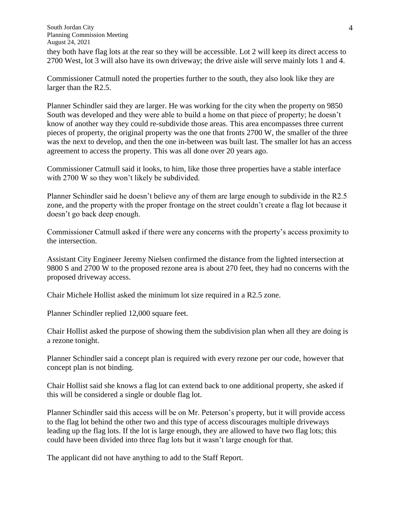South Jordan City Planning Commission Meeting August 24, 2021 they both have flag lots at the rear so they will be accessible. Lot 2 will keep its direct access to 2700 West, lot 3 will also have its own driveway; the drive aisle will serve mainly lots 1 and 4.

Commissioner Catmull noted the properties further to the south, they also look like they are larger than the R2.5.

Planner Schindler said they are larger. He was working for the city when the property on 9850 South was developed and they were able to build a home on that piece of property; he doesn't know of another way they could re-subdivide those areas. This area encompasses three current pieces of property, the original property was the one that fronts 2700 W, the smaller of the three was the next to develop, and then the one in-between was built last. The smaller lot has an access agreement to access the property. This was all done over 20 years ago.

Commissioner Catmull said it looks, to him, like those three properties have a stable interface with 2700 W so they won't likely be subdivided.

Planner Schindler said he doesn't believe any of them are large enough to subdivide in the R2.5 zone, and the property with the proper frontage on the street couldn't create a flag lot because it doesn't go back deep enough.

Commissioner Catmull asked if there were any concerns with the property's access proximity to the intersection.

Assistant City Engineer Jeremy Nielsen confirmed the distance from the lighted intersection at 9800 S and 2700 W to the proposed rezone area is about 270 feet, they had no concerns with the proposed driveway access.

Chair Michele Hollist asked the minimum lot size required in a R2.5 zone.

Planner Schindler replied 12,000 square feet.

Chair Hollist asked the purpose of showing them the subdivision plan when all they are doing is a rezone tonight.

Planner Schindler said a concept plan is required with every rezone per our code, however that concept plan is not binding.

Chair Hollist said she knows a flag lot can extend back to one additional property, she asked if this will be considered a single or double flag lot.

Planner Schindler said this access will be on Mr. Peterson's property, but it will provide access to the flag lot behind the other two and this type of access discourages multiple driveways leading up the flag lots. If the lot is large enough, they are allowed to have two flag lots; this could have been divided into three flag lots but it wasn't large enough for that.

The applicant did not have anything to add to the Staff Report.